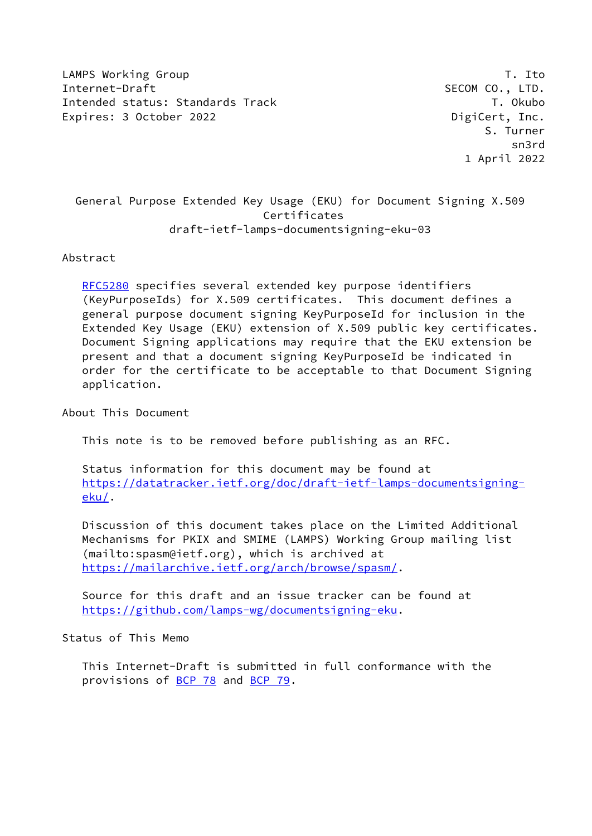LAMPS Working Group T. Ito Internet-Draft SECOM CO., LTD. Intended status: Standards Track T. Okubo Expires: 3 October 2022 **DigiCert, Inc.** 

# General Purpose Extended Key Usage (EKU) for Document Signing X.509 Certificates draft-ietf-lamps-documentsigning-eku-03

# Abstract

 [RFC5280](https://datatracker.ietf.org/doc/pdf/rfc5280) specifies several extended key purpose identifiers (KeyPurposeIds) for X.509 certificates. This document defines a general purpose document signing KeyPurposeId for inclusion in the Extended Key Usage (EKU) extension of X.509 public key certificates. Document Signing applications may require that the EKU extension be present and that a document signing KeyPurposeId be indicated in order for the certificate to be acceptable to that Document Signing application.

## About This Document

This note is to be removed before publishing as an RFC.

 Status information for this document may be found at [https://datatracker.ietf.org/doc/draft-ietf-lamps-documentsigning](https://datatracker.ietf.org/doc/draft-ietf-lamps-documentsigning-eku/)[eku/](https://datatracker.ietf.org/doc/draft-ietf-lamps-documentsigning-eku/).

 Discussion of this document takes place on the Limited Additional Mechanisms for PKIX and SMIME (LAMPS) Working Group mailing list (mailto:spasm@ietf.org), which is archived at <https://mailarchive.ietf.org/arch/browse/spasm/>.

 Source for this draft and an issue tracker can be found at <https://github.com/lamps-wg/documentsigning-eku>.

## Status of This Memo

 This Internet-Draft is submitted in full conformance with the provisions of [BCP 78](https://datatracker.ietf.org/doc/pdf/bcp78) and [BCP 79](https://datatracker.ietf.org/doc/pdf/bcp79).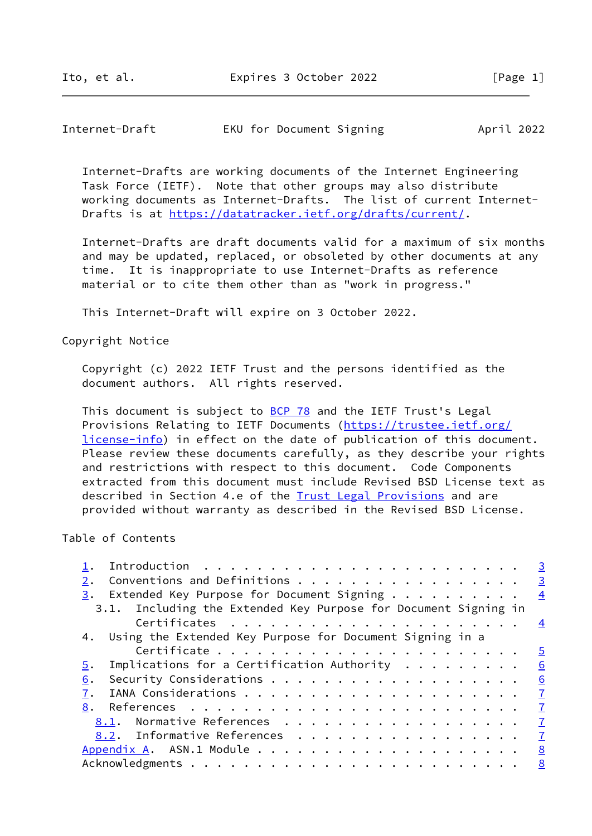| Internet-Draft | EKU for Document Signing |  | April 2022 |
|----------------|--------------------------|--|------------|
|----------------|--------------------------|--|------------|

 Internet-Drafts are working documents of the Internet Engineering Task Force (IETF). Note that other groups may also distribute working documents as Internet-Drafts. The list of current Internet- Drafts is at<https://datatracker.ietf.org/drafts/current/>.

 Internet-Drafts are draft documents valid for a maximum of six months and may be updated, replaced, or obsoleted by other documents at any time. It is inappropriate to use Internet-Drafts as reference material or to cite them other than as "work in progress."

This Internet-Draft will expire on 3 October 2022.

Copyright Notice

 Copyright (c) 2022 IETF Trust and the persons identified as the document authors. All rights reserved.

This document is subject to **[BCP 78](https://datatracker.ietf.org/doc/pdf/bcp78)** and the IETF Trust's Legal Provisions Relating to IETF Documents ([https://trustee.ietf.org/](https://trustee.ietf.org/license-info) [license-info](https://trustee.ietf.org/license-info)) in effect on the date of publication of this document. Please review these documents carefully, as they describe your rights and restrictions with respect to this document. Code Components extracted from this document must include Revised BSD License text as described in Section 4.e of the **Trust Legal Provisions** and are provided without warranty as described in the Revised BSD License.

## Table of Contents

|    |                                                                   | $\overline{3}$ |
|----|-------------------------------------------------------------------|----------------|
| 2. | Conventions and Definitions 3                                     |                |
| 3. | Extended Key Purpose for Document Signing                         | $\overline{4}$ |
|    | 3.1. Including the Extended Key Purpose for Document Signing in   |                |
|    |                                                                   | $\overline{4}$ |
|    | 4. Using the Extended Key Purpose for Document Signing in a       |                |
|    |                                                                   | $\overline{5}$ |
| 5. | Implications for a Certification Authority $\ldots \ldots \ldots$ | 6              |
| 6. |                                                                   | 6              |
| 7. |                                                                   | $\mathbf{Z}$   |
| 8. |                                                                   | $\mathbf{Z}$   |
|    | 8.1. Normative References                                         | $\mathbf{I}$   |
|    | 8.2. Informative References                                       | $\overline{7}$ |
|    |                                                                   | 8              |
|    |                                                                   | $\frac{8}{2}$  |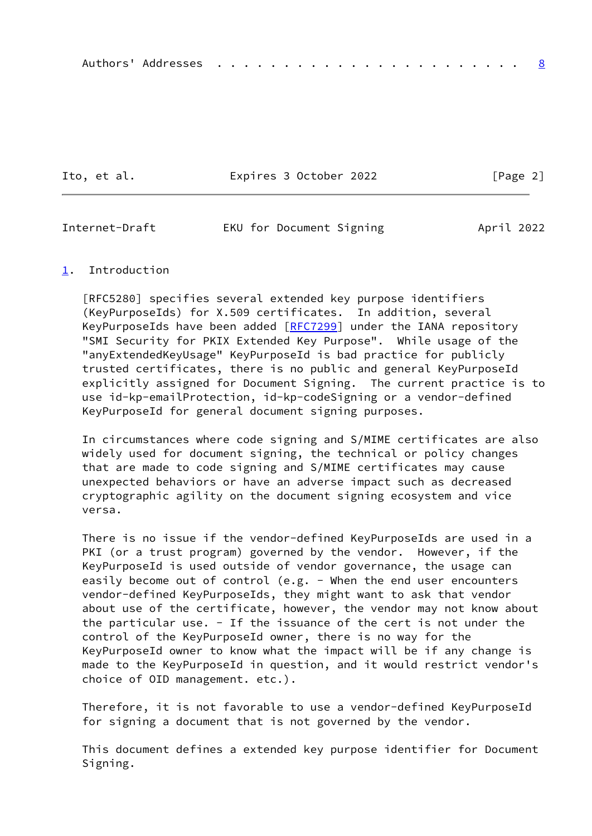Ito, et al. **Expires 3 October 2022** [Page 2]

<span id="page-2-1"></span>Internet-Draft EKU for Document Signing April 2022

#### <span id="page-2-0"></span>[1](#page-2-0). Introduction

 [RFC5280] specifies several extended key purpose identifiers (KeyPurposeIds) for X.509 certificates. In addition, several KeyPurposeIds have been added [[RFC7299](https://datatracker.ietf.org/doc/pdf/rfc7299)] under the IANA repository "SMI Security for PKIX Extended Key Purpose". While usage of the "anyExtendedKeyUsage" KeyPurposeId is bad practice for publicly trusted certificates, there is no public and general KeyPurposeId explicitly assigned for Document Signing. The current practice is to use id-kp-emailProtection, id-kp-codeSigning or a vendor-defined KeyPurposeId for general document signing purposes.

 In circumstances where code signing and S/MIME certificates are also widely used for document signing, the technical or policy changes that are made to code signing and S/MIME certificates may cause unexpected behaviors or have an adverse impact such as decreased cryptographic agility on the document signing ecosystem and vice versa.

 There is no issue if the vendor-defined KeyPurposeIds are used in a PKI (or a trust program) governed by the vendor. However, if the KeyPurposeId is used outside of vendor governance, the usage can easily become out of control (e.g. - When the end user encounters vendor-defined KeyPurposeIds, they might want to ask that vendor about use of the certificate, however, the vendor may not know about the particular use. - If the issuance of the cert is not under the control of the KeyPurposeId owner, there is no way for the KeyPurposeId owner to know what the impact will be if any change is made to the KeyPurposeId in question, and it would restrict vendor's choice of OID management. etc.).

 Therefore, it is not favorable to use a vendor-defined KeyPurposeId for signing a document that is not governed by the vendor.

 This document defines a extended key purpose identifier for Document Signing.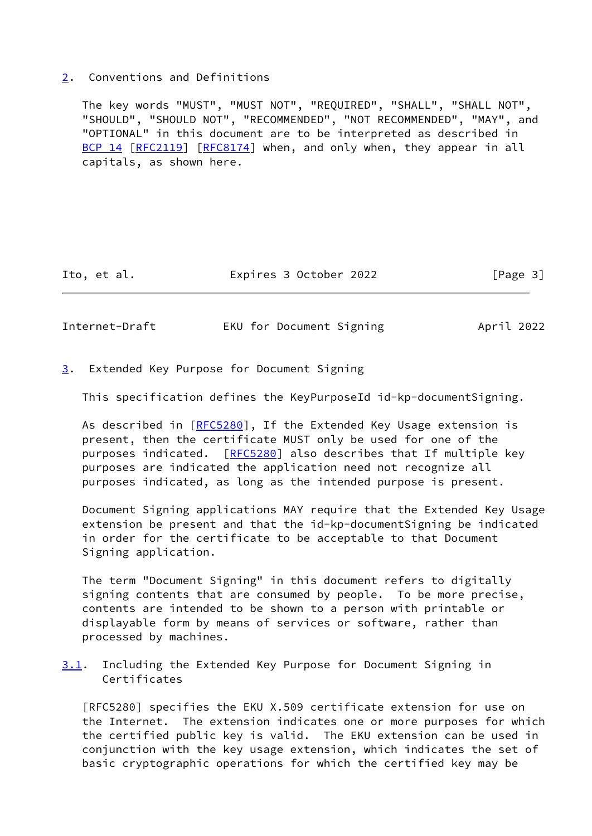#### <span id="page-3-0"></span>[2](#page-3-0). Conventions and Definitions

 The key words "MUST", "MUST NOT", "REQUIRED", "SHALL", "SHALL NOT", "SHOULD", "SHOULD NOT", "RECOMMENDED", "NOT RECOMMENDED", "MAY", and "OPTIONAL" in this document are to be interpreted as described in [BCP 14](https://datatracker.ietf.org/doc/pdf/bcp14) [\[RFC2119](https://datatracker.ietf.org/doc/pdf/rfc2119)] [\[RFC8174](https://datatracker.ietf.org/doc/pdf/rfc8174)] when, and only when, they appear in all capitals, as shown here.

Ito, et al. **Expires 3 October 2022** [Page 3]

<span id="page-3-2"></span>

Internet-Draft EKU for Document Signing April 2022

<span id="page-3-1"></span>[3](#page-3-1). Extended Key Purpose for Document Signing

This specification defines the KeyPurposeId id-kp-documentSigning.

 As described in [\[RFC5280](https://datatracker.ietf.org/doc/pdf/rfc5280)], If the Extended Key Usage extension is present, then the certificate MUST only be used for one of the purposes indicated. [\[RFC5280](https://datatracker.ietf.org/doc/pdf/rfc5280)] also describes that If multiple key purposes are indicated the application need not recognize all purposes indicated, as long as the intended purpose is present.

 Document Signing applications MAY require that the Extended Key Usage extension be present and that the id-kp-documentSigning be indicated in order for the certificate to be acceptable to that Document Signing application.

 The term "Document Signing" in this document refers to digitally signing contents that are consumed by people. To be more precise, contents are intended to be shown to a person with printable or displayable form by means of services or software, rather than processed by machines.

<span id="page-3-3"></span>[3.1](#page-3-3). Including the Extended Key Purpose for Document Signing in Certificates

 [RFC5280] specifies the EKU X.509 certificate extension for use on the Internet. The extension indicates one or more purposes for which the certified public key is valid. The EKU extension can be used in conjunction with the key usage extension, which indicates the set of basic cryptographic operations for which the certified key may be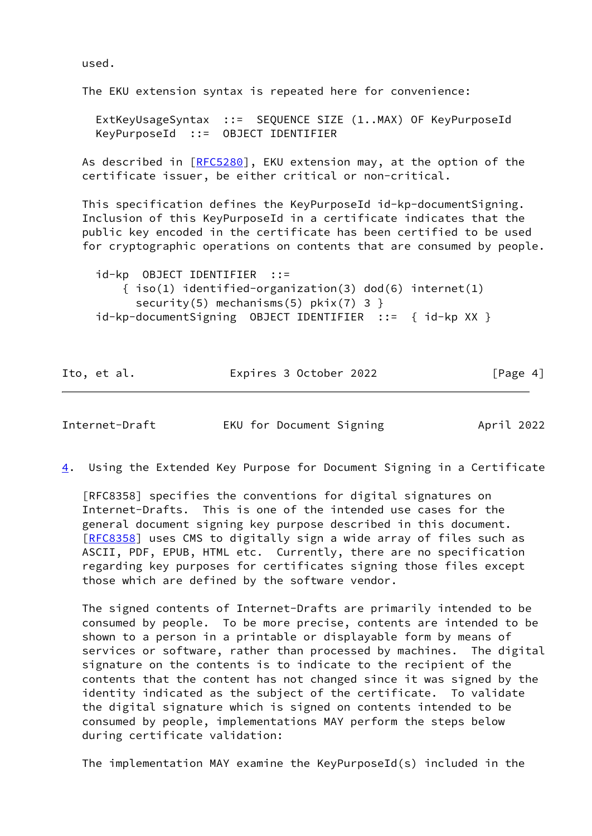used.

The EKU extension syntax is repeated here for convenience:

 ExtKeyUsageSyntax ::= SEQUENCE SIZE (1..MAX) OF KeyPurposeId KeyPurposeId ::= OBJECT IDENTIFIER

As described in [\[RFC5280](https://datatracker.ietf.org/doc/pdf/rfc5280)], EKU extension may, at the option of the certificate issuer, be either critical or non-critical.

 This specification defines the KeyPurposeId id-kp-documentSigning. Inclusion of this KeyPurposeId in a certificate indicates that the public key encoded in the certificate has been certified to be used for cryptographic operations on contents that are consumed by people.

 id-kp OBJECT IDENTIFIER ::= { iso(1) identified-organization(3) dod(6) internet(1) security(5) mechanisms(5)  $pkix(7)$  3 } id-kp-documentSigning OBJECT IDENTIFIER ::= { id-kp XX }

| Ito, et al. | Expires 3 October 2022 | [Page 4] |
|-------------|------------------------|----------|
|             |                        |          |

<span id="page-4-0"></span>Internet-Draft EKU for Document Signing April 2022

<span id="page-4-1"></span>[4](#page-4-1). Using the Extended Key Purpose for Document Signing in a Certificate

 [RFC8358] specifies the conventions for digital signatures on Internet-Drafts. This is one of the intended use cases for the general document signing key purpose described in this document. [\[RFC8358](https://datatracker.ietf.org/doc/pdf/rfc8358)] uses CMS to digitally sign a wide array of files such as ASCII, PDF, EPUB, HTML etc. Currently, there are no specification regarding key purposes for certificates signing those files except those which are defined by the software vendor.

 The signed contents of Internet-Drafts are primarily intended to be consumed by people. To be more precise, contents are intended to be shown to a person in a printable or displayable form by means of services or software, rather than processed by machines. The digital signature on the contents is to indicate to the recipient of the contents that the content has not changed since it was signed by the identity indicated as the subject of the certificate. To validate the digital signature which is signed on contents intended to be consumed by people, implementations MAY perform the steps below during certificate validation:

The implementation MAY examine the KeyPurposeId(s) included in the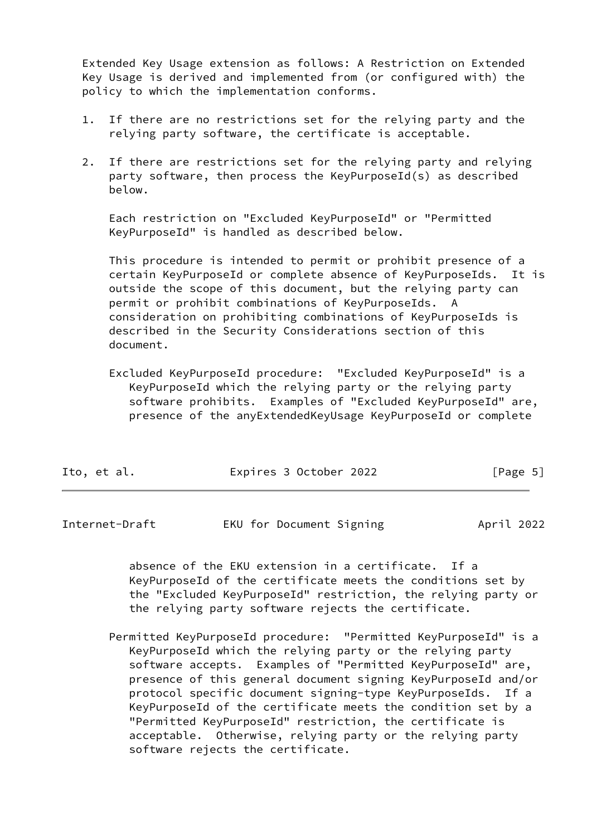Extended Key Usage extension as follows: A Restriction on Extended Key Usage is derived and implemented from (or configured with) the policy to which the implementation conforms.

- 1. If there are no restrictions set for the relying party and the relying party software, the certificate is acceptable.
- 2. If there are restrictions set for the relying party and relying party software, then process the KeyPurposeId(s) as described below.

 Each restriction on "Excluded KeyPurposeId" or "Permitted KeyPurposeId" is handled as described below.

 This procedure is intended to permit or prohibit presence of a certain KeyPurposeId or complete absence of KeyPurposeIds. It is outside the scope of this document, but the relying party can permit or prohibit combinations of KeyPurposeIds. A consideration on prohibiting combinations of KeyPurposeIds is described in the Security Considerations section of this document.

 Excluded KeyPurposeId procedure: "Excluded KeyPurposeId" is a KeyPurposeId which the relying party or the relying party software prohibits. Examples of "Excluded KeyPurposeId" are, presence of the anyExtendedKeyUsage KeyPurposeId or complete

| Ito, et al. | Expires 3 October 2022 | [Page 5] |
|-------------|------------------------|----------|
|-------------|------------------------|----------|

<span id="page-5-0"></span>

| Internet-Draft |  | EKU for Document Signing | April 2022 |  |
|----------------|--|--------------------------|------------|--|
|                |  |                          |            |  |

 absence of the EKU extension in a certificate. If a KeyPurposeId of the certificate meets the conditions set by the "Excluded KeyPurposeId" restriction, the relying party or the relying party software rejects the certificate.

 Permitted KeyPurposeId procedure: "Permitted KeyPurposeId" is a KeyPurposeId which the relying party or the relying party software accepts. Examples of "Permitted KeyPurposeId" are, presence of this general document signing KeyPurposeId and/or protocol specific document signing-type KeyPurposeIds. If a KeyPurposeId of the certificate meets the condition set by a "Permitted KeyPurposeId" restriction, the certificate is acceptable. Otherwise, relying party or the relying party software rejects the certificate.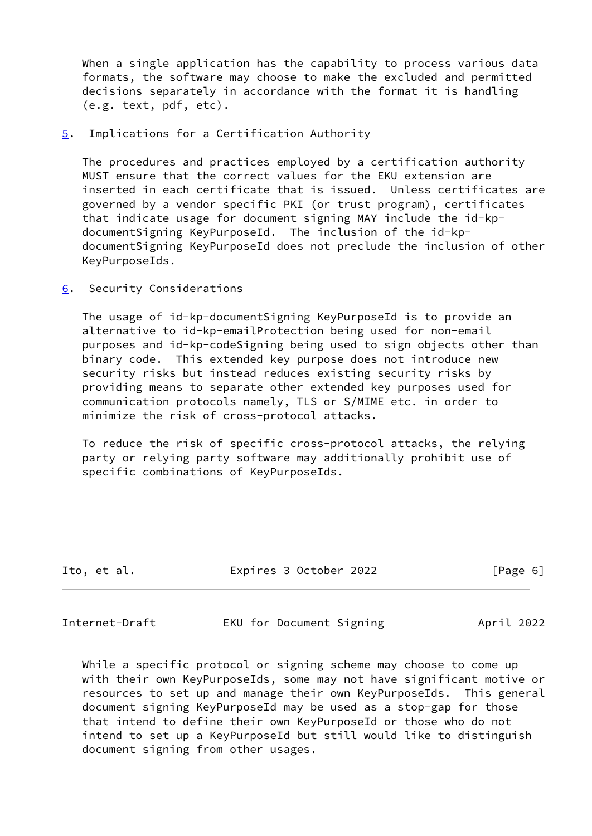When a single application has the capability to process various data formats, the software may choose to make the excluded and permitted decisions separately in accordance with the format it is handling (e.g. text, pdf, etc).

<span id="page-6-0"></span>[5](#page-6-0). Implications for a Certification Authority

 The procedures and practices employed by a certification authority MUST ensure that the correct values for the EKU extension are inserted in each certificate that is issued. Unless certificates are governed by a vendor specific PKI (or trust program), certificates that indicate usage for document signing MAY include the id-kp documentSigning KeyPurposeId. The inclusion of the id-kp documentSigning KeyPurposeId does not preclude the inclusion of other KeyPurposeIds.

<span id="page-6-1"></span>[6](#page-6-1). Security Considerations

 The usage of id-kp-documentSigning KeyPurposeId is to provide an alternative to id-kp-emailProtection being used for non-email purposes and id-kp-codeSigning being used to sign objects other than binary code. This extended key purpose does not introduce new security risks but instead reduces existing security risks by providing means to separate other extended key purposes used for communication protocols namely, TLS or S/MIME etc. in order to minimize the risk of cross-protocol attacks.

 To reduce the risk of specific cross-protocol attacks, the relying party or relying party software may additionally prohibit use of specific combinations of KeyPurposeIds.

| Ito, et al. | Expires 3 October 2022 | [Page 6] |
|-------------|------------------------|----------|
|             |                        |          |

<span id="page-6-2"></span>Internet-Draft EKU for Document Signing April 2022

 While a specific protocol or signing scheme may choose to come up with their own KeyPurposeIds, some may not have significant motive or resources to set up and manage their own KeyPurposeIds. This general document signing KeyPurposeId may be used as a stop-gap for those that intend to define their own KeyPurposeId or those who do not intend to set up a KeyPurposeId but still would like to distinguish document signing from other usages.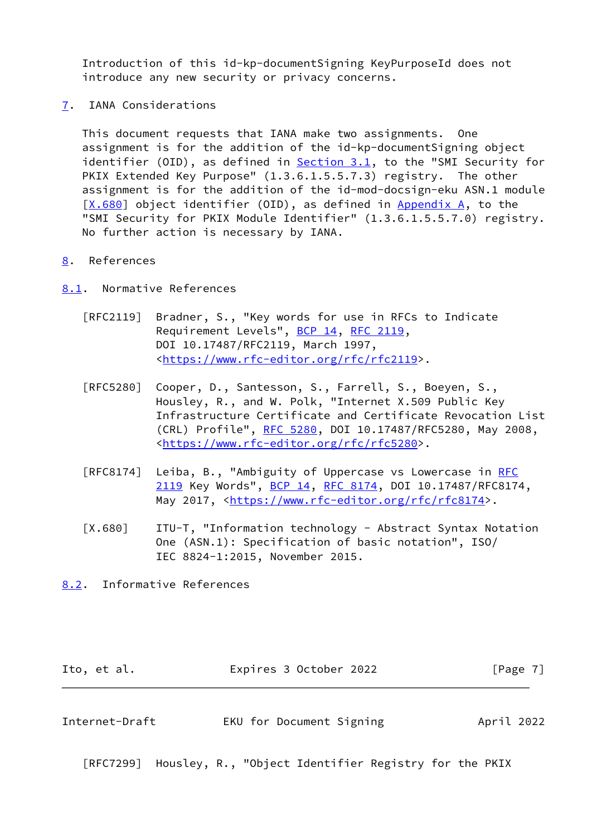Introduction of this id-kp-documentSigning KeyPurposeId does not introduce any new security or privacy concerns.

<span id="page-7-0"></span>[7](#page-7-0). IANA Considerations

 This document requests that IANA make two assignments. One assignment is for the addition of the id-kp-documentSigning object identifier (OID), as defined in  $Section 3.1$ , to the "SMI Security for PKIX Extended Key Purpose" (1.3.6.1.5.5.7.3) registry. The other assignment is for the addition of the id-mod-docsign-eku ASN.1 module  $[X.680]$  $[X.680]$  object identifier (OID), as defined in [Appendix A,](#page-8-0) to the "SMI Security for PKIX Module Identifier" (1.3.6.1.5.5.7.0) registry. No further action is necessary by IANA.

## <span id="page-7-1"></span>[8](#page-7-1). References

<span id="page-7-2"></span>[8.1](#page-7-2). Normative References

- [RFC2119] Bradner, S., "Key words for use in RFCs to Indicate Requirement Levels", [BCP 14](https://datatracker.ietf.org/doc/pdf/bcp14), [RFC 2119](https://datatracker.ietf.org/doc/pdf/rfc2119), DOI 10.17487/RFC2119, March 1997, <<https://www.rfc-editor.org/rfc/rfc2119>>.
- [RFC5280] Cooper, D., Santesson, S., Farrell, S., Boeyen, S., Housley, R., and W. Polk, "Internet X.509 Public Key Infrastructure Certificate and Certificate Revocation List (CRL) Profile", [RFC 5280,](https://datatracker.ietf.org/doc/pdf/rfc5280) DOI 10.17487/RFC5280, May 2008, <<https://www.rfc-editor.org/rfc/rfc5280>>.
- [RFC8174] Leiba, B., "Ambiguity of Uppercase vs Lowercase in [RFC](https://datatracker.ietf.org/doc/pdf/rfc2119) [2119](https://datatracker.ietf.org/doc/pdf/rfc2119) Key Words", [BCP 14](https://datatracker.ietf.org/doc/pdf/bcp14), [RFC 8174,](https://datatracker.ietf.org/doc/pdf/rfc8174) DOI 10.17487/RFC8174, May 2017, [<https://www.rfc-editor.org/rfc/rfc8174](https://www.rfc-editor.org/rfc/rfc8174)>.
- <span id="page-7-5"></span> [X.680] ITU-T, "Information technology - Abstract Syntax Notation One (ASN.1): Specification of basic notation", ISO/ IEC 8824-1:2015, November 2015.
- <span id="page-7-3"></span>[8.2](#page-7-3). Informative References

<span id="page-7-4"></span>

| Ito, et al.    | Expires 3 October 2022   | [Page 7]   |  |
|----------------|--------------------------|------------|--|
|                |                          |            |  |
| Internet-Draft | EKU for Document Signing | April 2022 |  |

[RFC7299] Housley, R., "Object Identifier Registry for the PKIX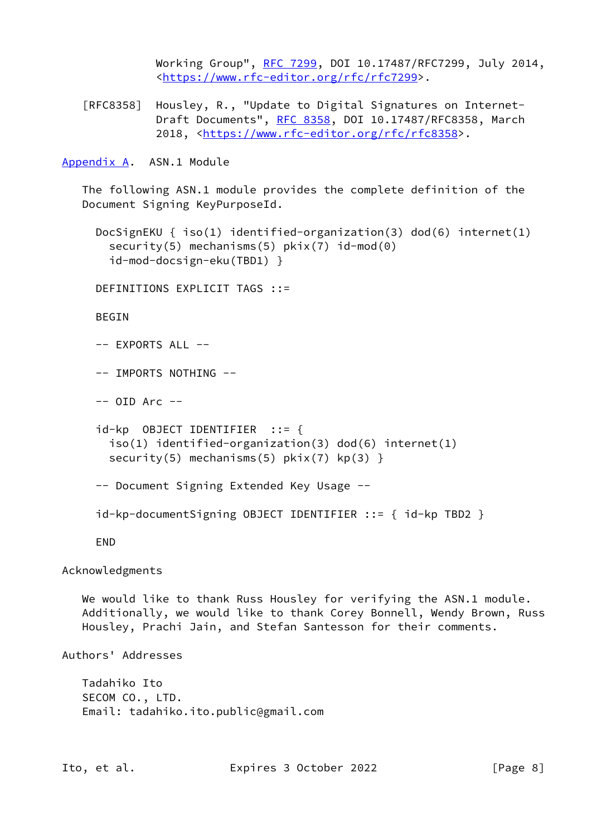Working Group", [RFC 7299,](https://datatracker.ietf.org/doc/pdf/rfc7299) DOI 10.17487/RFC7299, July 2014, <<https://www.rfc-editor.org/rfc/rfc7299>>.

 [RFC8358] Housley, R., "Update to Digital Signatures on Internet- Draft Documents", [RFC 8358](https://datatracker.ietf.org/doc/pdf/rfc8358), DOI 10.17487/RFC8358, March 2018, [<https://www.rfc-editor.org/rfc/rfc8358](https://www.rfc-editor.org/rfc/rfc8358)>.

<span id="page-8-0"></span>[Appendix A.](#page-8-0) ASN.1 Module

 The following ASN.1 module provides the complete definition of the Document Signing KeyPurposeId.

```
 DocSignEKU { iso(1) identified-organization(3) dod(6) internet(1)
security(5) mechanisms(5) pkix(7) id-mod(0)
 id-mod-docsign-eku(TBD1) }
```
DEFINITIONS EXPLICIT TAGS ::=

BEGIN

-- EXPORTS ALL --

-- IMPORTS NOTHING --

 $--$  OID Arc  $--$ 

```
 id-kp OBJECT IDENTIFIER ::= {
 iso(1) identified-organization(3) dod(6) internet(1)
security(5) mechanisms(5) pkix(7) kp(3)}
```
-- Document Signing Extended Key Usage --

```
 id-kp-documentSigning OBJECT IDENTIFIER ::= { id-kp TBD2 }
```
END

Acknowledgments

We would like to thank Russ Housley for verifying the ASN.1 module. Additionally, we would like to thank Corey Bonnell, Wendy Brown, Russ Housley, Prachi Jain, and Stefan Santesson for their comments.

Authors' Addresses

 Tadahiko Ito SECOM CO., LTD. Email: tadahiko.ito.public@gmail.com